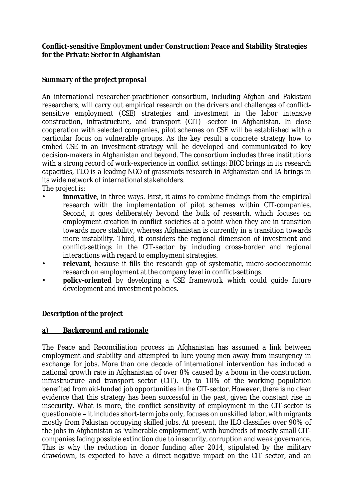**Conflict-sensitive Employment under Construction: Peace and Stability Strategies for the Private Sector in Afghanistan** 

## *Summary of the project proposal*

An international researcher-practitioner consortium, including Afghan and Pakistani researchers, will carry out empirical research on the drivers and challenges of conflictsensitive employment (CSE) strategies and investment in the labor intensive construction, infrastructure, and transport (CIT) -sector in Afghanistan. In close cooperation with selected companies, pilot schemes on CSE will be established with a particular focus on vulnerable groups. As the key result a concrete strategy how to embed CSE in an investment-strategy will be developed and communicated to key decision-makers in Afghanistan and beyond. The consortium includes three institutions with a strong record of work-experience in conflict settings: BICC brings in its research capacities, TLO is a leading NGO of grassroots research in Afghanistan and IA brings in its wide network of international stakeholders.

The project is:

- *innovative*, in three ways. First, it aims to combine findings from the empirical research with the implementation of pilot schemes within CIT-companies. Second, it goes deliberately beyond the bulk of research, which focuses on employment creation in conflict societies at a point when they are in transition towards more stability, whereas Afghanistan is currently in a transition towards more instability. Third, it considers the regional dimension of investment and conflict-settings in the CIT-sector by including cross-border and regional interactions with regard to employment strategies.
- *relevant*, because it fills the research gap of systematic, micro-socioeconomic research on employment at the company level in conflict-settings.
- *policy-oriented* by developing a CSE framework which could guide future development and investment policies.

#### *Description of the project*

#### **a) Background and rationale**

The Peace and Reconciliation process in Afghanistan has assumed a link between employment and stability and attempted to lure young men away from insurgency in exchange for jobs. More than one decade of international intervention has induced a national growth rate in Afghanistan of over 8% caused by a boom in the construction, infrastructure and transport sector (CIT). Up to 10% of the working population benefited from aid-funded job opportunities in the CIT-sector. However, there is no clear evidence that this strategy has been successful in the past, given the constant rise in insecurity. What is more, the conflict sensitivity of employment in the CIT-sector is questionable – it includes short-term jobs only, focuses on unskilled labor, with migrants mostly from Pakistan occupying skilled jobs. At present, the ILO classifies over 90% of the jobs in Afghanistan as 'vulnerable employment', with hundreds of mostly small CITcompanies facing possible extinction due to insecurity, corruption and weak governance. This is why the reduction in donor funding after 2014, stipulated by the military drawdown, is expected to have a direct negative impact on the CIT sector, and an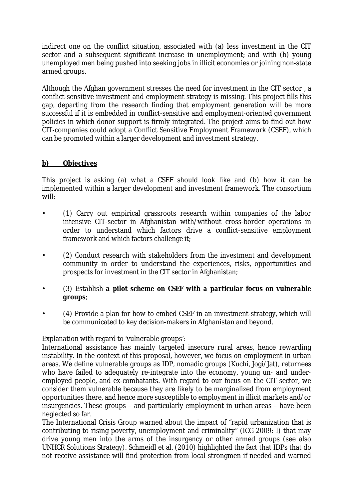indirect one on the conflict situation, associated with (a) less investment in the CIT sector and a subsequent significant increase in unemployment; and with (b) young unemployed men being pushed into seeking jobs in illicit economies or joining non-state armed groups.

Although the Afghan government stresses the need for investment in the CIT sector , a conflict-sensitive investment and employment strategy is missing. This project fills this gap, departing from the research finding that employment generation will be more successful if it is embedded in conflict-sensitive and employment-oriented government policies in which donor support is firmly integrated. The project aims to find out how CIT-companies could adopt a Conflict Sensitive Employment Framework (CSEF), which can be promoted within a larger development and investment strategy.

#### **b) Objectives**

This project is asking (a) what a CSEF should look like and (b) how it can be implemented within a larger development and investment framework. The consortium will:

- (1) Carry out empirical grassroots research within companies of the labor intensive CIT-sector in Afghanistan with/without cross-border operations in order to understand which factors drive a conflict-sensitive employment framework and which factors challenge it;
- (2) Conduct research with stakeholders from the investment and development community in order to understand the experiences, risks, opportunities and prospects for investment in the CIT sector in Afghanistan;
- (3) Establish *a pilot scheme on CSEF with a particular focus on vulnerable groups*;
- (4) Provide a plan for how to embed CSEF in an investment-strategy, which will be communicated to key decision-makers in Afghanistan and beyond.

#### Explanation with regard to 'vulnerable groups':

International assistance has mainly targeted insecure rural areas, hence rewarding instability. In the context of this proposal, however, we focus on employment in urban areas. We define vulnerable groups as IDP, nomadic groups (Kuchi, Jogi/Jat), returnees who have failed to adequately re-integrate into the economy, young un- and underemployed people, and ex-combatants. With regard to our focus on the CIT sector, we consider them vulnerable because they are likely to be marginalized from employment opportunities there, and hence more susceptible to employment in illicit markets and/or insurgencies. These groups – and particularly employment in urban areas – have been neglected so far.

The International Crisis Group warned about the impact of "rapid urbanization that is contributing to rising poverty, unemployment and criminality" (ICG 2009: I) that may drive young men into the arms of the insurgency or other armed groups (see also UNHCR Solutions Strategy). Schmeidl et al. (2010) highlighted the fact that IDPs that do not receive assistance will find protection from local strongmen if needed and warned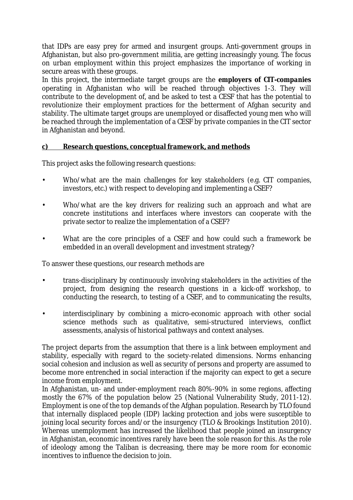that IDPs are easy prey for armed and insurgent groups. Anti-government groups in Afghanistan, but also pro-government militia, are getting increasingly young. The focus on urban employment within this project emphasizes the importance of working in secure areas with these groups.

In this project, the intermediate target groups are the *employers of CIT-companies* operating in Afghanistan who will be reached through objectives 1-3. They will contribute to the development of, and be asked to test a CESF that has the potential to revolutionize their employment practices for the betterment of Afghan security and stability. The ultimate target groups are unemployed or disaffected young men who will be reached through the implementation of a CESF by private companies in the CIT sector in Afghanistan and beyond.

#### **c) Research questions, conceptual framework, and methods**

This project asks the following research questions:

- Who/what are the main challenges for key stakeholders (e.g. CIT companies, investors, etc.) with respect to developing and implementing a CSEF?
- Who/what are the key drivers for realizing such an approach and what are concrete institutions and interfaces where investors can cooperate with the private sector to realize the implementation of a CSEF?
- What are the core principles of a CSEF and how could such a framework be embedded in an overall development and investment strategy?

To answer these questions, our research methods are

- trans-disciplinary by continuously involving stakeholders in the activities of the project, from designing the research questions in a kick-off workshop, to conducting the research, to testing of a CSEF, and to communicating the results,
- interdisciplinary by combining a micro-economic approach with other social science methods such as qualitative, semi-structured interviews, conflict assessments, analysis of historical pathways and context analyses.

The project departs from the assumption that there is a link between employment and stability, especially with regard to the society-related dimensions. Norms enhancing social cohesion and inclusion as well as security of persons and property are assumed to become more entrenched in social interaction if the majority can expect to get a secure income from employment.

In Afghanistan, un- and under-employment reach 80%-90% in some regions, affecting mostly the 67% of the population below 25 (National Vulnerability Study, 2011-12). Employment is one of the top demands of the Afghan population. Research by TLO found that internally displaced people (IDP) lacking protection and jobs were susceptible to joining local security forces and/or the insurgency (TLO & Brookings Institution 2010). Whereas unemployment has increased the likelihood that people joined an insurgency in Afghanistan, economic incentives rarely have been the sole reason for this. As the role of ideology among the Taliban is decreasing, there may be more room for economic incentives to influence the decision to join.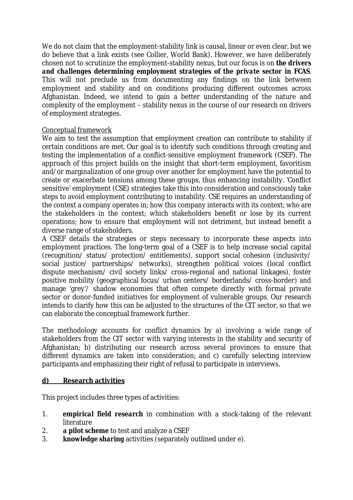We do not claim that the employment-stability link is causal, linear or even clear, but we do believe that a link exists (see Collier, World Bank). However, we have deliberately chosen not to scrutinize the employment-stability nexus, but our focus is on *the drivers and challenges determining employment strategies of the private sector in FCAS*. This will not preclude us from documenting any findings on the link between employment and stability and on conditions producing different outcomes across Afghanistan. Indeed, we intend to gain a better understanding of the nature and complexity of the employment – stability nexus in the course of our research on drivers of employment strategies.

#### Conceptual framework

We aim to test the assumption that employment creation can contribute to stability if certain conditions are met. Our goal is to identify such conditions through creating and testing the implementation of a conflict-sensitive employment framework (CSEF). The approach of this project builds on the insight that short-term employment, favoritism and/or marginalization of one group over another for employment have the potential to create or exacerbate tensions among these groups, thus enhancing instability. 'Conflict sensitive' employment (CSE) strategies take this into consideration and consciously take steps to avoid employment contributing to instability. CSE requires an understanding of the context a company operates in; how this company interacts with its context; who are the stakeholders in the context; which stakeholders benefit or lose by its current operations; how to ensure that employment will not detriment, but instead benefit a diverse range of stakeholders.

A CSEF details the strategies or steps necessary to incorporate these aspects into employment practices. The long-term goal of a CSEF is to help increase social capital (recognition/ status/ protection/ entitlements), support social cohesion (inclusivity/ social justice/ partnerships/ networks), strengthen political voices (local conflict dispute mechanism/ civil society links/ cross-regional and national linkages), foster positive mobility (geographical focus/ urban centers/ borderlands/ cross-border) and manage 'grey'/ shadow economies that often compete directly with formal private sector or donor-funded initiatives for employment of vulnerable groups. Our research intends to clarify how this can be adjusted to the structures of the CIT sector, so that we can elaborate the conceptual framework further.

The methodology accounts for conflict dynamics by a) involving a wide range of stakeholders from the CIT sector with varying interests in the stability and security of Afghanistan; b) distributing our research across several provinces to ensure that different dynamics are taken into consideration; and c) carefully selecting interview participants and emphasizing their right of refusal to participate in interviews.

#### **d) Research activities**

This project includes three types of activities:

- 1. *empirical field research* in combination with a stock-taking of the relevant literature
- 2. *a pilot scheme* to test and analyze a CSEF
- 3. *knowledge sharing* activities (separately outlined under e).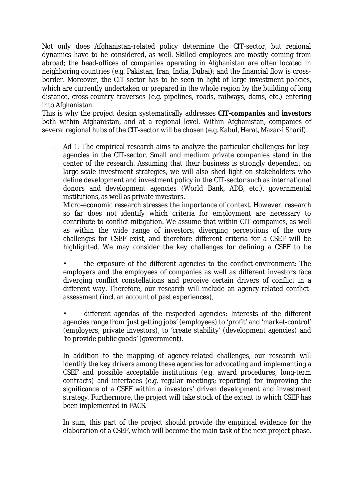Not only does Afghanistan-related policy determine the CIT-sector, but regional dynamics have to be considered, as well. Skilled employees are mostly coming from abroad; the head-offices of companies operating in Afghanistan are often located in neighboring countries (e.g. Pakistan, Iran, India, Dubai); and the financial flow is crossborder. Moreover, the CIT-sector has to be seen in light of large investment policies, which are currently undertaken or prepared in the whole region by the building of long distance, cross-country traverses (e.g. pipelines, roads, railways, dams, etc.) entering into Afghanistan.

This is why the project design systematically addresses *CIT-companies* and *investors* both within Afghanistan, and at a regional level. Within Afghanistan, companies of several regional hubs of the CIT-sector will be chosen (e.g. Kabul, Herat, Mazar-i Sharif).

Ad 1. The empirical research aims to analyze the particular challenges for keyagencies in the CIT-sector. Small and medium private companies stand in the center of the research. Assuming that their business is strongly dependent on large-scale investment strategies, we will also shed light on stakeholders who define development and investment policy in the CIT-sector such as international donors and development agencies (World Bank, ADB, etc.), governmental institutions, as well as private investors.

Micro-economic research stresses the importance of context. However, research so far does not identify which criteria for employment are necessary to contribute to conflict mitigation. We assume that within CIT-companies, as well as within the wide range of investors, diverging perceptions of the core challenges for CSEF exist, and therefore different criteria for a CSEF will be highlighted. We may consider the key challenges for defining a CSEF to be

• the exposure of the different agencies to the conflict-environment: The employers and the employees of companies as well as different investors face diverging conflict constellations and perceive certain drivers of conflict in a different way. Therefore, our research will include an agency-related conflictassessment (incl. an account of past experiences),

• different agendas of the respected agencies: Interests of the different agencies range from 'just getting jobs' (employees) to 'profit' and 'market-control' (employers; private investors), to 'create stability' (development agencies) and 'to provide public goods' (government).

In addition to the mapping of agency-related challenges, our research will identify the key drivers among these agencies for advocating and implementing a CSEF and possible acceptable institutions (e.g. award procedures; long-term contracts) and interfaces (e.g. regular meetings; reporting) for improving the significance of a CSEF within a investors' driven development and investment strategy. Furthermore, the project will take stock of the extent to which CSEF has been implemented in FACS.

In sum, this part of the project should provide the empirical evidence for the elaboration of a CSEF, which will become the main task of the next project phase.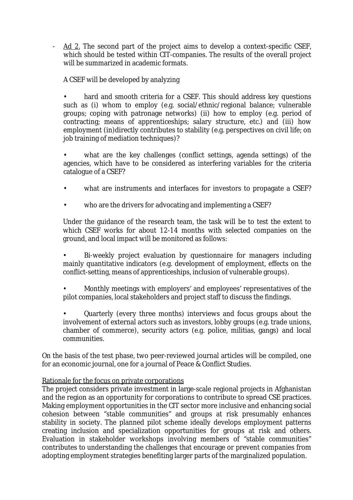- Ad 2. The second part of the project aims to develop a context-specific CSEF, which should be tested within CIT-companies. The results of the overall project will be summarized in academic formats.

## A CSEF will be developed by analyzing

hard and smooth criteria for a CSEF. This should address key questions such as (i) whom to employ (e.g. social/ethnic/regional balance; vulnerable groups; coping with patronage networks) (ii) how to employ (e.g. period of contracting; means of apprenticeships; salary structure, etc.) and (iii) how employment (in)directly contributes to stability (e.g. perspectives on civil life; on job training of mediation techniques)?

what are the key challenges (conflict settings, agenda settings) of the agencies, which have to be considered as interfering variables for the criteria catalogue of a CSEF?

- what are instruments and interfaces for investors to propagate a CSEF?
- who are the drivers for advocating and implementing a CSEF?

Under the guidance of the research team, the task will be to test the extent to which CSEF works for about 12-14 months with selected companies on the ground, and local impact will be monitored as follows:

• Bi-weekly project evaluation by questionnaire for managers including mainly quantitative indicators (e.g. development of employment, effects on the conflict-setting, means of apprenticeships, inclusion of vulnerable groups).

• Monthly meetings with employers' and employees' representatives of the pilot companies, local stakeholders and project staff to discuss the findings.

• Quarterly (every three months) interviews and focus groups about the involvement of external actors such as investors, lobby groups (e.g. trade unions, chamber of commerce), security actors (e.g. police, militias, gangs) and local communities.

On the basis of the test phase, two peer-reviewed journal articles will be compiled, one for an economic journal, one for a journal of Peace & Conflict Studies.

#### Rationale for the focus on private corporations

The project considers private investment in large-scale regional projects in Afghanistan and the region as an opportunity for corporations to contribute to spread CSE practices. Making employment opportunities in the CIT sector more inclusive and enhancing social cohesion between "stable communities" and groups at risk presumably enhances stability in society. The planned pilot scheme ideally develops employment patterns creating inclusion and specialization opportunities for groups at risk and others. Evaluation in stakeholder workshops involving members of "stable communities" contributes to understanding the challenges that encourage or prevent companies from adopting employment strategies benefiting larger parts of the marginalized population.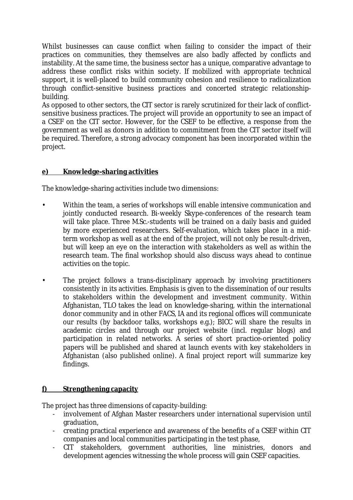Whilst businesses can cause conflict when failing to consider the impact of their practices on communities, they themselves are also badly affected by conflicts and instability. At the same time, the business sector has a unique, comparative advantage to address these conflict risks within society. If mobilized with appropriate technical support, it is well-placed to build community cohesion and resilience to radicalization through conflict-sensitive business practices and concerted strategic relationshipbuilding.

As opposed to other sectors, the CIT sector is rarely scrutinized for their lack of conflictsensitive business practices. The project will provide an opportunity to see an impact of a CSEF on the CIT sector. However, for the CSEF to be effective, a response from the government as well as donors in addition to commitment from the CIT sector itself will be required. Therefore, a strong advocacy component has been incorporated within the project.

# **e) Knowledge-sharing activities**

The knowledge-sharing activities include two dimensions:

- Within the team, a series of workshops will enable intensive communication and jointly conducted research. Bi-weekly Skype-conferences of the research team will take place. Three M.Sc.-students will be trained on a daily basis and guided by more experienced researchers. Self-evaluation, which takes place in a midterm workshop as well as at the end of the project, will not only be result-driven, but will keep an eye on the interaction with stakeholders as well as within the research team. The final workshop should also discuss ways ahead to continue activities on the topic.
- The project follows a trans-disciplinary approach by involving practitioners consistently in its activities. Emphasis is given to the dissemination of our results to stakeholders within the development and investment community. Within Afghanistan, TLO takes the lead on knowledge-sharing, within the international donor community and in other FACS, IA and its regional offices will communicate our results (by backdoor talks, workshops e.g.); BICC will share the results in academic circles and through our project website (incl. regular blogs) and participation in related networks. A series of short practice-oriented policy papers will be published and shared at launch events with key stakeholders in Afghanistan (also published online). A final project report will summarize key findings.

# **f) Strengthening capacity**

The project has three dimensions of capacity-building:

- involvement of Afghan Master researchers under international supervision until graduation,
- creating practical experience and awareness of the benefits of a CSEF within CIT companies and local communities participating in the test phase,
- CIT stakeholders, government authorities, line ministries, donors and development agencies witnessing the whole process will gain CSEF capacities.